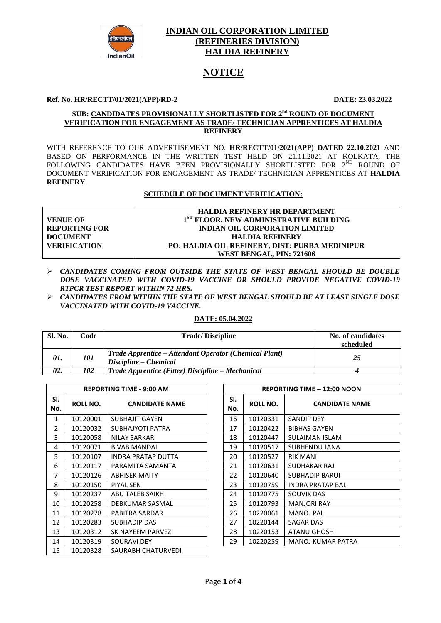

## **INDIAN OIL CORPORATION LIMITED (REFINERIES DIVISION) HALDIA REFINERY**

# **NOTICE**

#### **Ref. No. HR/RECTT/01/2021(APP)/RD-2 DATE: 23.03.2022**

#### **SUB: <u>CANDIDATES PROVISIONALLY SHORTLISTED FOR 2<sup>nd</sup> ROUND OF DOCUMENT**</u> **VERIFICATION FOR ENGAGEMENT AS TRADE/ TECHNICIAN APPRENTICES AT HALDIA REFINERY**

WITH REFERENCE TO OUR ADVERTISEMENT NO. **HR/RECTT/01/2021(APP) DATED 22.10.2021** AND BASED ON PERFORMANCE IN THE WRITTEN TEST HELD ON 21.11.2021 AT KOLKATA, THE FOLLOWING CANDIDATES HAVE BEEN PROVISIONALLY SHORTLISTED FOR 2<sup>ND</sup> ROUND OF DOCUMENT VERIFICATION FOR ENGAGEMENT AS TRADE/ TECHNICIAN APPRENTICES AT **HALDIA REFINERY**.

### **SCHEDULE OF DOCUMENT VERIFICATION:**

|                      | <b>HALDIA REFINERY HR DEPARTMENT</b>               |
|----------------------|----------------------------------------------------|
| <b>VENUE OF</b>      | 1 <sup>ST</sup> FLOOR, NEW ADMINISTRATIVE BUILDING |
| <b>REPORTING FOR</b> | <b>INDIAN OIL CORPORATION LIMITED</b>              |
| <b>DOCUMENT</b>      | <b>HALDIA REFINERY</b>                             |
| <b>VERIFICATION</b>  | PO: HALDIA OIL REFINERY, DIST: PURBA MEDINIPUR     |
|                      | WEST BENGAL, PIN: 721606                           |

- *CANDIDATES COMING FROM OUTSIDE THE STATE OF WEST BENGAL SHOULD BE DOUBLE DOSE VACCINATED WITH COVID-19 VACCINE OR SHOULD PROVIDE NEGATIVE COVID-19 RTPCR TEST REPORT WITHIN 72 HRS.*
- *CANDIDATES FROM WITHIN THE STATE OF WEST BENGAL SHOULD BE AT LEAST SINGLE DOSE VACCINATED WITH COVID-19 VACCINE.*

#### **DATE: 05.04.2022**

| Sl. No. | Code | <b>Trade/Discipline</b>                                                         | No. of candidates<br>scheduled |
|---------|------|---------------------------------------------------------------------------------|--------------------------------|
| 01.     | 101  | Trade Apprentice – Attendant Operator (Chemical Plant)<br>Discipline – Chemical | 25                             |
| 02.     | 102  | Trade Apprentice (Fitter) Discipline – Mechanical                               |                                |

|            | <b>REPORTING TIME - 9:00 AM</b> |                           |  |            |                 | <b>REPORTING TIME - 12:00 NOO</b> |
|------------|---------------------------------|---------------------------|--|------------|-----------------|-----------------------------------|
| SI.<br>No. | ROLL NO.                        | <b>CANDIDATE NAME</b>     |  | SI.<br>No. | <b>ROLL NO.</b> | <b>CANDIDATE N.</b>               |
| 1          | 10120001                        | <b>SUBHAJIT GAYEN</b>     |  | 16         | 10120331        | <b>SANDIP DEY</b>                 |
| 2          | 10120032                        | SUBHAJYOTI PATRA          |  | 17         | 10120422        | <b>BIBHAS GAYEN</b>               |
| 3          | 10120058                        | NILAY SARKAR              |  | 18         | 10120447        | SULAIMAN ISLAM                    |
| 4          | 10120071                        | <b>BIVAB MANDAL</b>       |  | 19         | 10120517        | SUBHENDU JANA                     |
| 5          | 10120107                        | <b>INDRA PRATAP DUTTA</b> |  | 20         | 10120527        | <b>RIK MANI</b>                   |
| 6          | 10120117                        | PARAMITA SAMANTA          |  | 21         | 10120631        | SUDHAKAR RAJ                      |
| 7          | 10120126                        | <b>ABHISEK MAITY</b>      |  | 22         | 10120640        | <b>SUBHADIP BARUI</b>             |
| 8          | 10120150                        | <b>PIYAL SEN</b>          |  | 23         | 10120759        | <b>INDRA PRATAP BAL</b>           |
| 9          | 10120237                        | ABU TALEB SAIKH           |  | 24         | 10120775        | SOUVIK DAS                        |
| 10         | 10120258                        | DEBKUMAR SASMAL           |  | 25         | 10120793        | <b>MANJORI RAY</b>                |
| 11         | 10120278                        | PABITRA SARDAR            |  | 26         | 10220061        | <b>MANOJ PAL</b>                  |
| 12         | 10120283                        | SUBHADIP DAS              |  | 27         | 10220144        | SAGAR DAS                         |
| 13         | 10120312                        | SK NAYEEM PARVEZ          |  | 28         | 10220153        | ATANU GHOSH                       |
| 14         | 10120319                        | SOURAVI DEY               |  | 29         | 10220259        | MANOJ KUMAR PATRA                 |
| 15         | 10120328                        | SAURABH CHATURVEDI        |  |            |                 |                                   |

| <b>REPORTING TIME - 9:00 AM</b> |                       |  | <b>REPORTING TIME - 12:00 NOON</b> |                 |                          |  |
|---------------------------------|-----------------------|--|------------------------------------|-----------------|--------------------------|--|
| L NO.                           | <b>CANDIDATE NAME</b> |  | SI.<br>No.                         | <b>ROLL NO.</b> | <b>CANDIDATE NAME</b>    |  |
| 20001                           | <b>SUBHAJIT GAYEN</b> |  | 16                                 | 10120331        | SANDIP DEY               |  |
| 20032                           | SUBHAJYOTI PATRA      |  | 17                                 | 10120422        | <b>BIBHAS GAYEN</b>      |  |
| 20058                           | NILAY SARKAR          |  | 18                                 | 10120447        | SULAIMAN ISLAM           |  |
| 20071                           | <b>BIVAB MANDAL</b>   |  | 19                                 | 10120517        | SUBHENDU JANA            |  |
| 20107                           | INDRA PRATAP DUTTA    |  | 20                                 | 10120527        | <b>RIK MANI</b>          |  |
| 20117                           | PARAMITA SAMANTA      |  | 21                                 | 10120631        | SUDHAKAR RAJ             |  |
| 20126                           | <b>ABHISEK MAITY</b>  |  | 22                                 | 10120640        | <b>SUBHADIP BARUI</b>    |  |
| 20150                           | PIYAL SEN             |  | 23                                 | 10120759        | <b>INDRA PRATAP BAL</b>  |  |
| 20237                           | ABU TALEB SAIKH       |  | 24                                 | 10120775        | <b>SOUVIK DAS</b>        |  |
| 20258                           | DEBKUMAR SASMAL       |  | 25                                 | 10120793        | <b>MANJORI RAY</b>       |  |
| 20278                           | PABITRA SARDAR        |  | 26                                 | 10220061        | <b>MANOJ PAL</b>         |  |
| 20283                           | SUBHADIP DAS          |  | 27                                 | 10220144        | SAGAR DAS                |  |
| 20312                           | SK NAYEEM PARVEZ      |  | 28                                 | 10220153        | ATANU GHOSH              |  |
| 20319                           | SOURAVI DEY           |  | 29                                 | 10220259        | <b>MANOJ KUMAR PATRA</b> |  |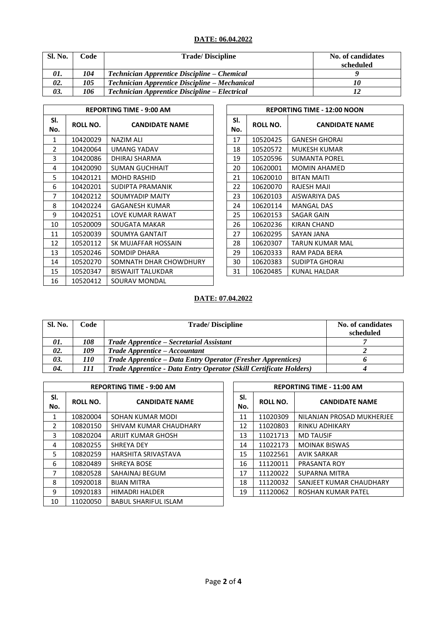# **DATE: 06.04.2022**

| Sl. No. | Code | <b>Trade/Discipline</b>                       | No. of candidates<br>scheduled |
|---------|------|-----------------------------------------------|--------------------------------|
| 01.     | 104  | Technician Apprentice Discipline – Chemical   |                                |
| 02.     | 105  | Technician Apprentice Discipline – Mechanical | 10                             |
| 03.     | 106  | Technician Apprentice Discipline – Electrical |                                |

|            | <b>REPORTING TIME - 9:00 AM</b> |                          |  |            |                 | <b>REPORTING TIME - 12:00 NO</b> |
|------------|---------------------------------|--------------------------|--|------------|-----------------|----------------------------------|
| SI.<br>No. | ROLL NO.                        | <b>CANDIDATE NAME</b>    |  | SI.<br>No. | <b>ROLL NO.</b> | <b>CANDIDATE</b>                 |
| 1          | 10420029                        | NAZIM ALI                |  | 17         | 10520425        | <b>GANESH GHORAI</b>             |
| 2          | 10420064                        | UMANG YADAV              |  | 18         | 10520572        | <b>MUKESH KUMAR</b>              |
| 3          | 10420086                        | DHIRAJ SHARMA            |  | 19         | 10520596        | <b>SUMANTA POREL</b>             |
| 4          | 10420090                        | <b>SUMAN GUCHHAIT</b>    |  | 20         | 10620001        | <b>MOMIN AHAMED</b>              |
| 5          | 10420121                        | <b>MOHD RASHID</b>       |  | 21         | 10620010        | <b>BITAN MAITI</b>               |
| 6          | 10420201                        | SUDIPTA PRAMANIK         |  | 22         | 10620070        | RAJESH MAJI                      |
| 7          | 10420212                        | SOUMYADIP MAITY          |  | 23         | 10620103        | AISWARIYA DAS                    |
| 8          | 10420224                        | <b>GAGANESH KUMAR</b>    |  | 24         | 10620114        | <b>MANGAL DAS</b>                |
| 9          | 10420251                        | LOVE KUMAR RAWAT         |  | 25         | 10620153        | <b>SAGAR GAIN</b>                |
| 10         | 10520009                        | SOUGATA MAKAR            |  | 26         | 10620236        | KIRAN CHAND                      |
| 11         | 10520039                        | SOUMYA GANTAIT           |  | 27         | 10620295        | SAYAN JANA                       |
| 12         | 10520112                        | SK MUJAFFAR HOSSAIN      |  | 28         | 10620307        | <b>TARUN KUMAR MAL</b>           |
| 13         | 10520246                        | SOMDIP DHARA             |  | 29         | 10620333        | RAM PADA BERA                    |
| 14         | 10520270                        | SOMNATH DHAR CHOWDHURY   |  | 30         | 10620383        | SUDIPTA GHORAI                   |
| 15         | 10520347                        | <b>BISWAJIT TALUKDAR</b> |  | 31         | 10620485        | KUNAL HALDAR                     |
| 16         | 10520412                        | SOURAV MONDAL            |  |            |                 |                                  |

| <b>REPORTING TIME - 9:00 AM</b> |                          |  |            |          | <b>REPORTING TIME - 12:00 NOON</b> |
|---------------------------------|--------------------------|--|------------|----------|------------------------------------|
| L NO.                           | <b>CANDIDATE NAME</b>    |  | SI.<br>No. | ROLL NO. | <b>CANDIDATE NAME</b>              |
| :0029                           | NAZIM ALI                |  | 17         | 10520425 | <b>GANESH GHORAI</b>               |
| 0064                            | UMANG YADAV              |  | 18         | 10520572 | MUKESH KUMAR                       |
| :0086                           | DHIRAJ SHARMA            |  | 19         | 10520596 | <b>SUMANTA POREL</b>               |
| :0090                           | SUMAN GUCHHAIT           |  | 20         | 10620001 | <b>MOMIN AHAMED</b>                |
| 0121                            | <b>MOHD RASHID</b>       |  | 21         | 10620010 | <b>BITAN MAITI</b>                 |
| 0201                            | SUDIPTA PRAMANIK         |  | 22         | 10620070 | RAJESH MAJI                        |
| 0212                            | SOUMYADIP MAITY          |  | 23         | 10620103 | AISWARIYA DAS                      |
| 0224                            | <b>GAGANESH KUMAR</b>    |  | 24         | 10620114 | <b>MANGAL DAS</b>                  |
| 0251                            | LOVE KUMAR RAWAT         |  | 25         | 10620153 | SAGAR GAIN                         |
| 0009                            | SOUGATA MAKAR            |  | 26         | 10620236 | KIRAN CHAND                        |
| 0039                            | SOUMYA GANTAIT           |  | 27         | 10620295 | SAYAN JANA                         |
| 0112                            | SK MUJAFFAR HOSSAIN      |  | 28         | 10620307 | TARUN KUMAR MAL                    |
| 0246                            | SOMDIP DHARA             |  | 29         | 10620333 | RAM PADA BERA                      |
| 0270                            | SOMNATH DHAR CHOWDHURY   |  | 30         | 10620383 | SUDIPTA GHORAI                     |
| :0347                           | <b>BISWAJIT TALUKDAR</b> |  | 31         | 10620485 | KUNAL HALDAR                       |

# **DATE: 07.04.2022**

| Sl. No. | Code       | <b>Trade/Discipline</b>                                            | No. of candidates<br>scheduled |
|---------|------------|--------------------------------------------------------------------|--------------------------------|
| 01.     | 108        | Trade Apprentice – Secretarial Assistant                           |                                |
| 02.     | 109        | <b>Trade Apprentice – Accountant</b>                               |                                |
| 03.     | <i>110</i> | Trade Apprentice – Data Entry Operator (Fresher Apprentices)       |                                |
| 04.     | 111        | Trade Apprentice - Data Entry Operator (Skill Certificate Holders) |                                |

|               | <b>REPORTING TIME - 9:00 AM</b> |                             |            |                 | <b>REPORTING TIME - 11:00 AM</b> |
|---------------|---------------------------------|-----------------------------|------------|-----------------|----------------------------------|
| SI.<br>No.    | ROLL NO.                        | <b>CANDIDATE NAME</b>       | SI.<br>No. | <b>ROLL NO.</b> | <b>CANDIDATE NAME</b>            |
| 1             | 10820004                        | SOHAN KUMAR MODI            | 11         | 11020309        | NILANJAN PROSAD MUKHERJEE        |
| $\mathcal{P}$ | 10820150                        | SHIVAM KUMAR CHAUDHARY      | 12         | 11020803        | RINKU ADHIKARY                   |
| 3             | 10820204                        | ARIJIT KUMAR GHOSH          | 13         | 11021713        | <b>MD TAUSIF</b>                 |
| 4             | 10820255                        | SHREYA DEY                  | 14         | 11022173        | <b>MOINAK BISWAS</b>             |
| 5             | 10820259                        | <b>HARSHITA SRIVASTAVA</b>  | 15         | 11022561        | <b>AVIK SARKAR</b>               |
| 6             | 10820489                        | <b>SHREYA BOSE</b>          | 16         | 11120011        | PRASANTA ROY                     |
| 7             | 10820528                        | SAHAINAJ BEGUM              | 17         | 11120022        | <b>SUPARNA MITRA</b>             |
| 8             | 10920018                        | <b>BIJAN MITRA</b>          | 18         | 11120032        | SANJEET KUMAR CHAUDHARY          |
| 9             | 10920183                        | <b>HIMADRI HALDER</b>       | 19         | 11120062        | <b>ROSHAN KUMAR PATEL</b>        |
| 10            | 11020050                        | <b>BABUL SHARIFUL ISLAM</b> |            |                 |                                  |

|            | <b>REPORTING TIME - 11:00 AM</b> |                           |  |  |  |
|------------|----------------------------------|---------------------------|--|--|--|
| SI.<br>No. | <b>ROLL NO.</b>                  | <b>CANDIDATE NAME</b>     |  |  |  |
| 11         | 11020309                         | NILANJAN PROSAD MUKHERJEE |  |  |  |
| 12         | 11020803                         | <b>RINKU ADHIKARY</b>     |  |  |  |
| 13         | 11021713                         | <b>MD TAUSIF</b>          |  |  |  |
| 14         | 11022173                         | <b>MOINAK BISWAS</b>      |  |  |  |
| 15         | 11022561                         | <b>AVIK SARKAR</b>        |  |  |  |
| 16         | 11120011                         | PRASANTA ROY              |  |  |  |
| 17         | 11120022                         | SUPARNA MITRA             |  |  |  |
| 18         | 11120032                         | SANJEET KUMAR CHAUDHARY   |  |  |  |
| 19         | 11120062                         | ROSHAN KUMAR PATEL        |  |  |  |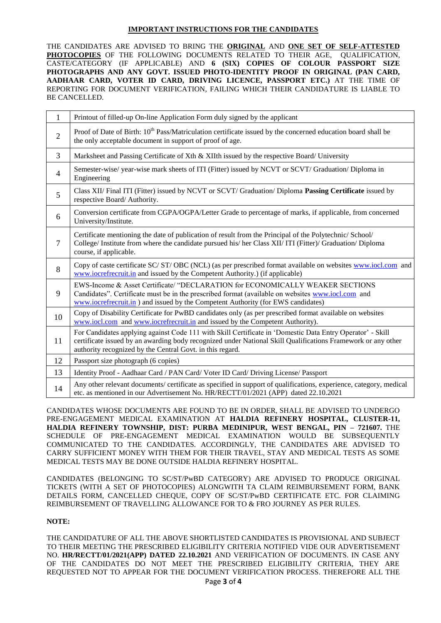### **IMPORTANT INSTRUCTIONS FOR THE CANDIDATES**

THE CANDIDATES ARE ADVISED TO BRING THE **ORIGINAL** AND **ONE SET OF SELF-ATTESTED**  PHOTOCOPIES OF THE FOLLOWING DOCUMENTS RELATED TO THEIR AGE, QUALIFICATION, CASTE/CATEGORY (IF APPLICABLE) AND **6 (SIX) COPIES OF COLOUR PASSPORT SIZE PHOTOGRAPHS AND ANY GOVT. ISSUED PHOTO-IDENTITY PROOF IN ORIGINAL (PAN CARD, AADHAAR CARD, VOTER ID CARD, DRIVING LICENCE, PASSPORT ETC.)** AT THE TIME OF REPORTING FOR DOCUMENT VERIFICATION, FAILING WHICH THEIR CANDIDATURE IS LIABLE TO BE CANCELLED.

| $\mathbf{1}$   | Printout of filled-up On-line Application Form duly signed by the applicant                                                                                                                                                                                                            |
|----------------|----------------------------------------------------------------------------------------------------------------------------------------------------------------------------------------------------------------------------------------------------------------------------------------|
| $\overline{2}$ | Proof of Date of Birth: 10 <sup>th</sup> Pass/Matriculation certificate issued by the concerned education board shall be<br>the only acceptable document in support of proof of age.                                                                                                   |
| $\overline{3}$ | Marksheet and Passing Certificate of Xth & XIIth issued by the respective Board/ University                                                                                                                                                                                            |
| $\overline{4}$ | Semester-wise/ year-wise mark sheets of ITI (Fitter) issued by NCVT or SCVT/ Graduation/ Diploma in<br>Engineering                                                                                                                                                                     |
| 5              | Class XII/ Final ITI (Fitter) issued by NCVT or SCVT/ Graduation/ Diploma Passing Certificate issued by<br>respective Board/Authority.                                                                                                                                                 |
| 6              | Conversion certificate from CGPA/OGPA/Letter Grade to percentage of marks, if applicable, from concerned<br>University/Institute.                                                                                                                                                      |
| $\overline{7}$ | Certificate mentioning the date of publication of result from the Principal of the Polytechnic/School/<br>College/ Institute from where the candidate pursued his/her Class XII/ITI (Fitter)/ Graduation/ Diploma<br>course, if applicable.                                            |
| 8              | Copy of caste certificate SC/ST/OBC (NCL) (as per prescribed format available on websites www.jocl.com and<br>www.iocrefrecruit.in and issued by the Competent Authority.) (if applicable)                                                                                             |
| 9              | EWS-Income & Asset Certificate/ "DECLARATION for ECONOMICALLY WEAKER SECTIONS<br>Candidates". Certificate must be in the prescribed format (available on websites www.iocl.com and<br>www.iocrefrecruit.in ) and issued by the Competent Authority (for EWS candidates)                |
| 10             | Copy of Disability Certificate for PwBD candidates only (as per prescribed format available on websites<br>www.iocl.com and www.iocrefrecruit.in and issued by the Competent Authority).                                                                                               |
| 11             | For Candidates applying against Code 111 with Skill Certificate in 'Domestic Data Entry Operator' - Skill<br>certificate issued by an awarding body recognized under National Skill Qualifications Framework or any other<br>authority recognized by the Central Govt. in this regard. |
| 12             | Passport size photograph (6 copies)                                                                                                                                                                                                                                                    |
| 13             | Identity Proof - Aadhaar Card / PAN Card/ Voter ID Card/ Driving License/ Passport                                                                                                                                                                                                     |
| 14             | Any other relevant documents/ certificate as specified in support of qualifications, experience, category, medical<br>etc. as mentioned in our Advertisement No. HR/RECTT/01/2021 (APP) dated 22.10.2021                                                                               |

CANDIDATES WHOSE DOCUMENTS ARE FOUND TO BE IN ORDER, SHALL BE ADVISED TO UNDERGO PRE-ENGAGEMENT MEDICAL EXAMINATION AT **HALDIA REFINERY HOSPITAL, CLUSTER-11, HALDIA REFINERY TOWNSHIP, DIST: PURBA MEDINIPUR, WEST BENGAL, PIN – 721607.** THE SCHEDULE OF PRE-ENGAGEMENT MEDICAL EXAMINATION WOULD BE SUBSEQUENTLY COMMUNICATED TO THE CANDIDATES. ACCORDINGLY, THE CANDIDATES ARE ADVISED TO CARRY SUFFICIENT MONEY WITH THEM FOR THEIR TRAVEL, STAY AND MEDICAL TESTS AS SOME MEDICAL TESTS MAY BE DONE OUTSIDE HALDIA REFINERY HOSPITAL.

CANDIDATES (BELONGING TO SC/ST/PwBD CATEGORY) ARE ADVISED TO PRODUCE ORIGINAL TICKETS (WITH A SET OF PHOTOCOPIES) ALONGWITH TA CLAIM REIMBURSEMENT FORM, BANK DETAILS FORM, CANCELLED CHEQUE, COPY OF SC/ST/PwBD CERTIFICATE ETC. FOR CLAIMING REIMBURSEMENT OF TRAVELLING ALLOWANCE FOR TO & FRO JOURNEY AS PER RULES.

### **NOTE:**

THE CANDIDATURE OF ALL THE ABOVE SHORTLISTED CANDIDATES IS PROVISIONAL AND SUBJECT TO THEIR MEETING THE PRESCRIBED ELIGIBILITY CRITERIA NOTIFIED VIDE OUR ADVERTISEMENT NO. **HR/RECTT/01/2021(APP) DATED 22.10.2021** AND VERIFICATION OF DOCUMENTS. IN CASE ANY OF THE CANDIDATES DO NOT MEET THE PRESCRIBED ELIGIBILITY CRITERIA, THEY ARE REQUESTED NOT TO APPEAR FOR THE DOCUMENT VERIFICATION PROCESS. THEREFORE ALL THE